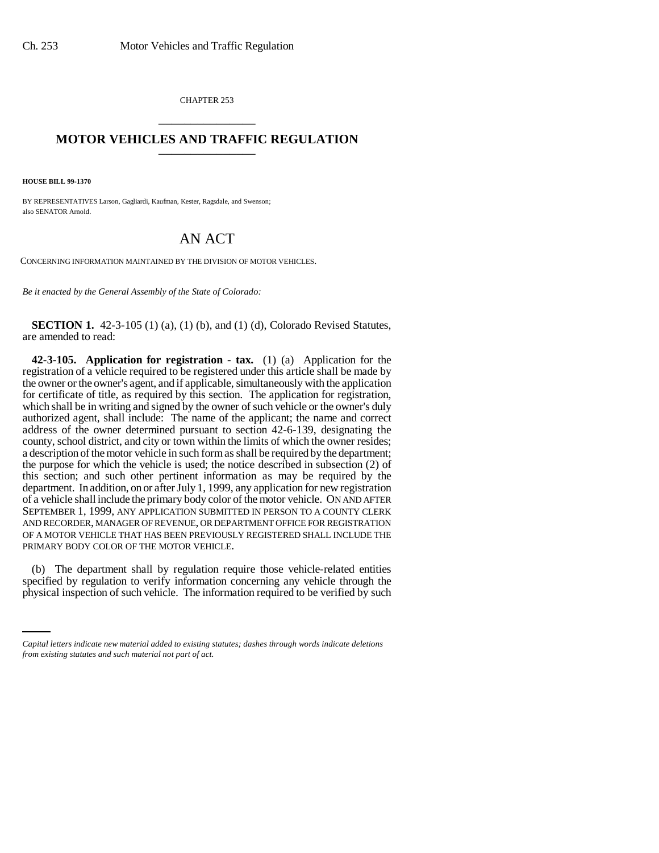CHAPTER 253 \_\_\_\_\_\_\_\_\_\_\_\_\_\_\_

## **MOTOR VEHICLES AND TRAFFIC REGULATION** \_\_\_\_\_\_\_\_\_\_\_\_\_\_\_

**HOUSE BILL 99-1370** 

BY REPRESENTATIVES Larson, Gagliardi, Kaufman, Kester, Ragsdale, and Swenson; also SENATOR Arnold.

## AN ACT

CONCERNING INFORMATION MAINTAINED BY THE DIVISION OF MOTOR VEHICLES.

*Be it enacted by the General Assembly of the State of Colorado:*

**SECTION 1.** 42-3-105 (1) (a), (1) (b), and (1) (d), Colorado Revised Statutes, are amended to read:

**42-3-105. Application for registration - tax.** (1) (a) Application for the registration of a vehicle required to be registered under this article shall be made by the owner or the owner's agent, and if applicable, simultaneously with the application for certificate of title, as required by this section. The application for registration, which shall be in writing and signed by the owner of such vehicle or the owner's duly authorized agent, shall include: The name of the applicant; the name and correct address of the owner determined pursuant to section 42-6-139, designating the county, school district, and city or town within the limits of which the owner resides; a description of the motor vehicle in such form as shall be required by the department; the purpose for which the vehicle is used; the notice described in subsection (2) of this section; and such other pertinent information as may be required by the department. In addition, on or after July 1, 1999, any application for new registration of a vehicle shall include the primary body color of the motor vehicle. ON AND AFTER SEPTEMBER 1, 1999, ANY APPLICATION SUBMITTED IN PERSON TO A COUNTY CLERK AND RECORDER, MANAGER OF REVENUE, OR DEPARTMENT OFFICE FOR REGISTRATION OF A MOTOR VEHICLE THAT HAS BEEN PREVIOUSLY REGISTERED SHALL INCLUDE THE PRIMARY BODY COLOR OF THE MOTOR VEHICLE.

(b) The department share by regulation require those venture-related entities specified by regulation to verify information concerning any vehicle through the (b) The department shall by regulation require those vehicle-related entities physical inspection of such vehicle. The information required to be verified by such

*Capital letters indicate new material added to existing statutes; dashes through words indicate deletions from existing statutes and such material not part of act.*